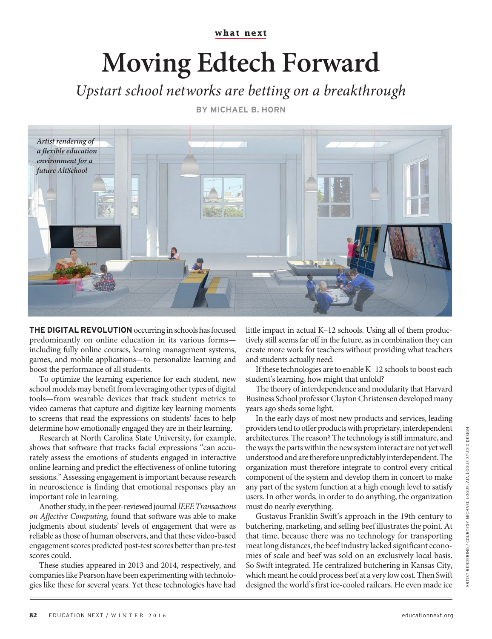**what next**

## **Moving Edtech Forward**

Upstart school networks are betting on a breakthrough

**BY MICHAEL B. HORN**



**THE DIGITAL REVOLUTION** occurring in schools has focused predominantly on online education in its various forms including fully online courses, learning management systems, games, and mobile applications—to personalize learning and boost the performance of all students.

To optimize the learning experience for each student, new school models may benefit from leveraging other types of digital tools—from wearable devices that track student metrics to video cameras that capture and digitize key learning moments to screens that read the expressions on students' faces to help determine how emotionally engaged they are in their learning.

Research at North Carolina State University, for example, shows that software that tracks facial expressions "can accurately assess the emotions of students engaged in interactive online learning and predict the effectiveness of online tutoring sessions." Assessing engagement is important because research in neuroscience is finding that emotional responses play an important role in learning.

Another study, in the peer-reviewed journal IEEE Transactions on Affective Computing, found that software was able to make judgments about students' levels of engagement that were as reliable as those of human observers, and that these video-based engagement scores predicted post-test scores better than pre-test scores could.

These studies appeared in 2013 and 2014, respectively, and companies like Pearson have been experimenting with technologies like these for several years. Yet these technologies have had

little impact in actual K–12 schools. Using all of them productively still seems far off in the future, as in combination they can create more work for teachers without providing what teachers and students actually need.

If these technologies are to enable K–12 schools to boost each student's learning, how might that unfold?

The theory of interdependence and modularity that Harvard Business School professor Clayton Christensen developed many years ago sheds some light.

In the early days of most new products and services, leading providers tend to offer products with proprietary, interdependent architectures. The reason? The technology is still immature, and the ways the parts within the new system interact are not yet well understood and are therefore unpredictably interdependent. The organization must therefore integrate to control every critical component of the system and develop them in concert to make any part of the system function at a high enough level to satisfy users. In other words, in order to do anything, the organization must do nearly everything.

Gustavus Franklin Swift's approach in the 19th century to butchering, marketing, and selling beef illustrates the point. At that time, because there was no technology for transporting meat long distances, the beef industry lacked significant economies of scale and beef was sold on an exclusively local basis. So Swift integrated. He centralized butchering in Kansas City, which meant he could process beef at a very low cost. Then Swift designed the world's first ice-cooled railcars. He even made ice